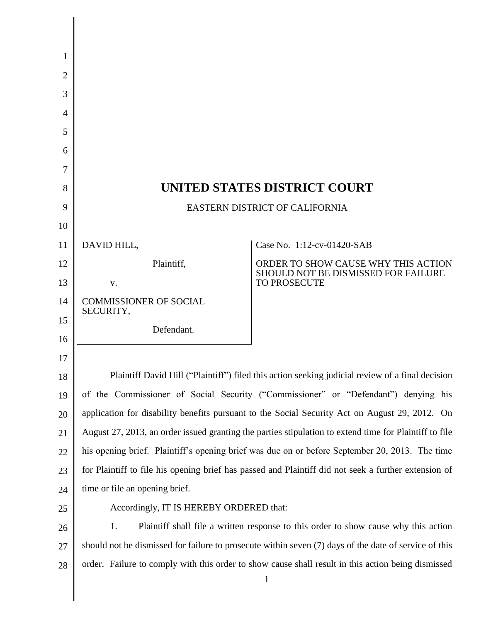| 1              |                                                                                                                    |                                                                            |  |
|----------------|--------------------------------------------------------------------------------------------------------------------|----------------------------------------------------------------------------|--|
| $\overline{2}$ |                                                                                                                    |                                                                            |  |
| 3              |                                                                                                                    |                                                                            |  |
| $\overline{A}$ |                                                                                                                    |                                                                            |  |
| 5              |                                                                                                                    |                                                                            |  |
| 6              |                                                                                                                    |                                                                            |  |
| 7              |                                                                                                                    |                                                                            |  |
| 8              | UNITED STATES DISTRICT COURT                                                                                       |                                                                            |  |
| 9              | EASTERN DISTRICT OF CALIFORNIA                                                                                     |                                                                            |  |
| 10             |                                                                                                                    |                                                                            |  |
| 11             | DAVID HILL,                                                                                                        | Case No. 1:12-cv-01420-SAB                                                 |  |
| 12             | Plaintiff,                                                                                                         | ORDER TO SHOW CAUSE WHY THIS ACTION<br>SHOULD NOT BE DISMISSED FOR FAILURE |  |
| 13             | V.                                                                                                                 | TO PROSECUTE                                                               |  |
| 14             | <b>COMMISSIONER OF SOCIAL</b><br>SECURITY,                                                                         |                                                                            |  |
| 15             | Defendant.                                                                                                         |                                                                            |  |
| 16             |                                                                                                                    |                                                                            |  |
| 17             |                                                                                                                    |                                                                            |  |
| 18             | Plaintiff David Hill ("Plaintiff") filed this action seeking judicial review of a final decision                   |                                                                            |  |
| 19             | of the Commissioner of Social Security ("Commissioner" or "Defendant") denying his                                 |                                                                            |  |
| 20             | application for disability benefits pursuant to the Social Security Act on August 29, 2012. On                     |                                                                            |  |
| 21             | August 27, 2013, an order issued granting the parties stipulation to extend time for Plaintiff to file             |                                                                            |  |
| 22             | his opening brief. Plaintiff's opening brief was due on or before September 20, 2013. The time                     |                                                                            |  |
| 23             | for Plaintiff to file his opening brief has passed and Plaintiff did not seek a further extension of               |                                                                            |  |
| 24             | time or file an opening brief.                                                                                     |                                                                            |  |
| 25             | Accordingly, IT IS HEREBY ORDERED that:                                                                            |                                                                            |  |
| 26             | 1.<br>Plaintiff shall file a written response to this order to show cause why this action                          |                                                                            |  |
| 27             | should not be dismissed for failure to prosecute within seven (7) days of the date of service of this              |                                                                            |  |
| 28             | order. Failure to comply with this order to show cause shall result in this action being dismissed<br>$\mathbf{1}$ |                                                                            |  |
|                |                                                                                                                    |                                                                            |  |

∥